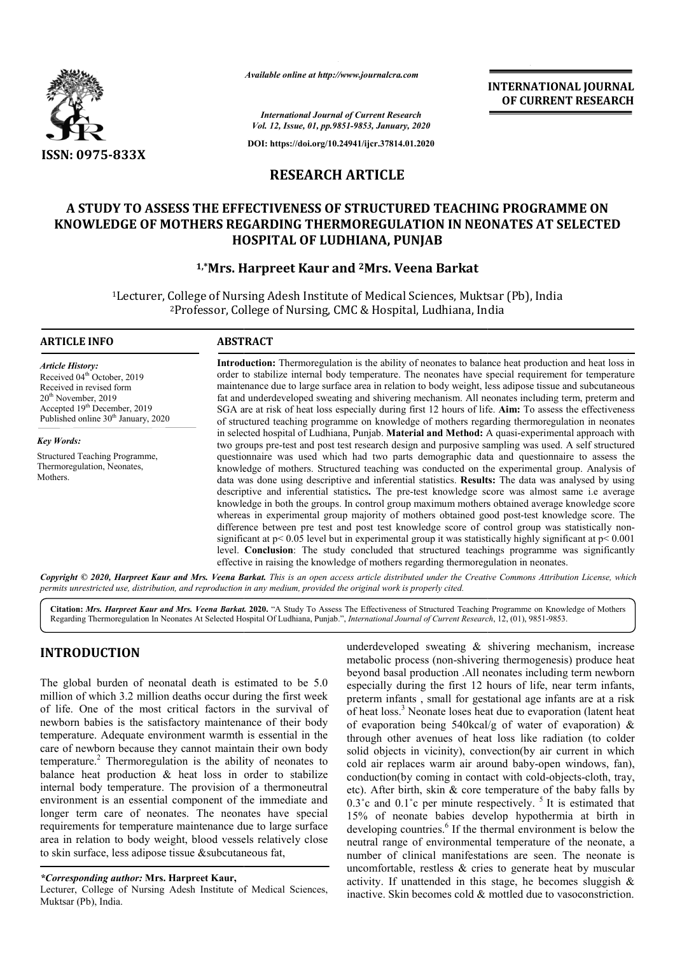

*Available online at http://www.journalcra.com*

**INTERNATIONAL JOURNAL OF CURRENT RESEARCH**

*International Journal of Current Research Vol. 12, Issue, 01, pp.9851-9853, January, 2020*

**DOI: https://doi.org/10.24941/ijcr.37814.01.2020**

## **RESEARCH ARTICLE**

# **A STUDY TO ASSESS THE EFFECTIVENESS OF STRUCTURED TEACHING PROGRAMME ON**  A STUDY TO ASSESS THE EFFECTIVENESS OF STRUCTURED TEACHING PROGRAMME ON<br>KNOWLEDGE OF MOTHERS REGARDING THERMOREGULATION IN NEONATES AT SELECTED **HOSPITAL OF LUDHIANA, PUNJAB**

## **1,\*Mrs. Harpreet Kaur and Mrs. 2Mrs. Veena Barkat**

<sup>1</sup>Lecturer, College of Nursing Adesh Institute of Medical Sciences, Muktsar (Pb), India Lecturer, College of Nursing Adesh Institute of Medical Sciences, Muktsar<br><sup>2</sup>Professor, College of Nursing, CMC & Hospital, Ludhiana, India

#### **ARTICLE INFO ABSTRACT**

*Article History:* Received 04<sup>th</sup> October, 2019 Received in revised form 20th November, 2019 Accepted 19<sup>th</sup> December, 2019 Published online 30<sup>th</sup> January, 2020

*Key Words:* Structured Teaching Programme, Thermoregulation, Neonates, Mothers.

**Introduction:**  Thermoregulation is the ability of neonates to balance heat production and heat loss in order to stabilize internal body temperature. The neonates have special requirement for temperature Introduction: Thermoregulation is the ability of neonates to balance heat production and heat loss in order to stabilize internal body temperature. The neonates have special requirement for temperature maintenance due to l fat and underdeveloped sweating and shivering mechanism. All neonates including term, preterm and SGA are at risk of heat loss especially during first 12 hours of life. **Aim:** To assess the effectiveness SGA are at risk of heat loss especially during first 12 hours of life. Aim: To assess the effectiveness of structured teaching programme on knowledge of mothers regarding thermoregulation in neonates of structured teaching programme on knowledge of mothers regarding thermoregulation in neonates in selected hospital of Ludhiana, Punjab. Material and Method: A quasi-experimental approach with two groups pre-test and post test research design and purposive sampling was used. A self structured questionnaire was used which had two parts demographic data and questionnaire to assess the questionnaire was used which had two parts demographic data and questionnaire to assess the knowledge of mothers. Structured teaching was conducted on the experimental group. Analysis of data was done using descriptive and inferential statistics. Results: The data was analysed by using descriptive and inferential statistics **.** The pre-test knowledge score was almost same i.e average knowledge in both the groups. In control group maximum mothers obtained average knowledge score descriptive and inferential statistics. The pre-test knowledge score was almost same i.e average<br>knowledge in both the groups. In control group maximum mothers obtained average knowledge score<br>whereas in experimental group difference between pre test and post test knowledge score of control group was statistically nonsignificant at  $p < 0.05$  level but in experimental group it was statistically highly significant at  $p < 0.001$ level. **Conclusion**: The study concluded that structured teachings programme was significantly level. Conclusion: The study concluded that structured teachings programme weffective in raising the knowledge of mothers regarding thermoregulation in neonates.

Copyright © 2020, Harpreet Kaur and Mrs. Veena Barkat. This is an open access article distributed under the Creative Commons Attribution License, which permits unrestricted use, distribution, and reproduction in any medium, provided the original work is properly cited.

Citation: Mrs. Harpreet Kaur and Mrs. Veena Barkat. 2020. "A Study To Assess The Effectiveness of Structured Teaching Programme on Knowledge of Mothers Regarding Thermoregulation In Neonates At Selected Hospital Of Ludhiana, Punjab.", *International Journal of Current Research*, 12, (01), 9851-9853.

# **INTRODUCTION**

The global burden of neonatal death is estimated to be 5.0 million of which 3.2 million deaths occur during the first week of life. One of the most critical factors in the survival of newborn babies is the satisfactory maintenance of their body temperature. Adequate environment warmth is essential in the care of newborn because they cannot maintain their own body temperature.<sup>2</sup> Thermoregulation is the ability of neonates to balance heat production & heat loss in order to stabilize internal body temperature. The provision of a thermoneutral environment is an essential component of the immediate and longer term care of neonates. The neonates have special requirements for temperature maintenance due to large surface area in relation to body weight, blood vessels relatively close to skin surface, less adipose tissue &subcutaneous fat,

Lecturer, College of Nursing Adesh Institute of Medical Sciences, Muktsar (Pb), India.

underdeveloped sweating & shivering mechanism, increase<br>
metabolic process (non-shivering thermogenesis) produce leat<br>
beyond basal production. All neonates including term newborn<br>
iillion deaths occur during the first wee metabolic process (non-shivering thermogenesis) produce heat beyond basal production .All neonates including term newborn especially during the first 12 hours of life, near term infants, preterm infants , small for gestational age infants are at a risk of heat loss.<sup>3</sup> Neonate loses heat due to evaporation (latent heat of evaporation being 540kcal/g of water of evaporation) & through other avenues of heat loss like radiation (to colder solid objects in vicinity), convection(by air current in which cold air replaces warm air around baby-open windows, fan), conduction(by coming in contact with cold-objects-cloth, tray, etc). After birth, skin & core temperature of the baby falls by etc). After birth, skin & core temperature of the baby falls by  $0.3^{\circ}$ c and  $0.1^{\circ}$ c per minute respectively. <sup>5</sup> It is estimated that 15% of neonate babies develop hypothermia at birth in developing countries.<sup>6</sup> If the thermal environment is below the developing countries.<sup>6</sup> If the thermal environment is below the neutral range of environmental temperature of the neonate, a number of clinical manifestations are seen. The neonate is uncomfortable, restless & cries to generate heat by muscular activity. If unattended in this stage, he becomes sluggish & inactive. Skin becomes cold & mottled due to vasoconstriction. underdeveloped sweating & shivering mechanism, increase metabolic process (non-shivering thermogenesis) produce heat beyond basal production .All neonates including term newborn especially during the first 12 hours of lif of clinical manifestations are seen. The neonate is rtable, restless  $\&$  cries to generate heat by muscular If unattended in this stage, he becomes sluggish  $\&$  Skin becomes cold  $\&$  mottled due to vasoconstriction.

*<sup>\*</sup>Corresponding author:* **Mrs. Harpreet Kaur,**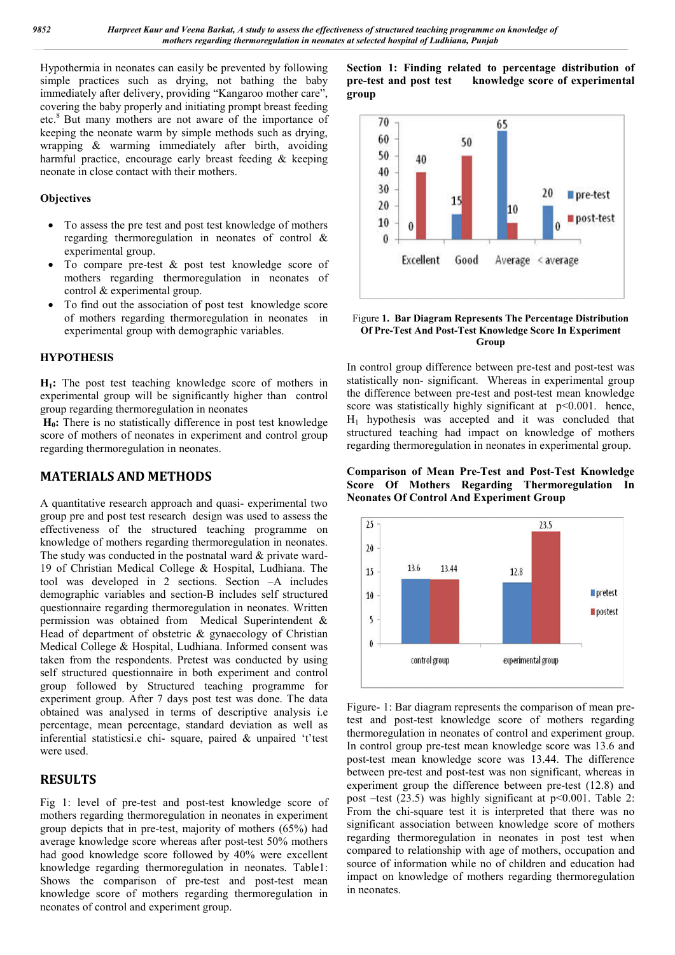Hypothermia in neonates can easily be prevented by following simple practices such as drying, not bathing the baby immediately after delivery, providing "Kangaroo mother care", covering the baby properly and initiating prompt breast feeding etc.8 But many mothers are not aware of the importance of keeping the neonate warm by simple methods such as drying, wrapping & warming immediately after birth, avoiding harmful practice, encourage early breast feeding & keeping neonate in close contact with their mothers.

## **Objectives**

- To assess the pre test and post test knowledge of mothers regarding thermoregulation in neonates of control & experimental group.
- To compare pre-test & post test knowledge score of mothers regarding thermoregulation in neonates of control & experimental group.
- To find out the association of post test knowledge score of mothers regarding thermoregulation in neonates in experimental group with demographic variables.

#### **HYPOTHESIS**

**H1:** The post test teaching knowledge score of mothers in experimental group will be significantly higher than control group regarding thermoregulation in neonates

H<sub>0</sub>: There is no statistically difference in post test knowledge score of mothers of neonates in experiment and control group regarding thermoregulation in neonates.

## **MATERIALS AND METHODS**

A quantitative research approach and quasi- experimental two group pre and post test research design was used to assess the effectiveness of the structured teaching programme on knowledge of mothers regarding thermoregulation in neonates. The study was conducted in the postnatal ward & private ward-19 of Christian Medical College & Hospital, Ludhiana. The tool was developed in 2 sections. Section -A includes demographic variables and section-B includes self structured questionnaire regarding thermoregulation in neonates. Written permission was obtained from Medical Superintendent & Head of department of obstetric & gynaecology of Christian Medical College & Hospital, Ludhiana. Informed consent was taken from the respondents. Pretest was conducted by using self structured questionnaire in both experiment and control group followed by Structured teaching programme for experiment group. After 7 days post test was done. The data obtained was analysed in terms of descriptive analysis i.e percentage, mean percentage, standard deviation as well as inferential statisticsi.e chi- square, paired & unpaired 't'test were used.

## **RESULTS**

Fig 1: level of pre-test and post-test knowledge score of mothers regarding thermoregulation in neonates in experiment group depicts that in pre-test, majority of mothers (65%) had average knowledge score whereas after post-test 50% mothers had good knowledge score followed by 40% were excellent knowledge regarding thermoregulation in neonates. Table1: Shows the comparison of pre-test and post-test mean knowledge score of mothers regarding thermoregulation in neonates of control and experiment group.

**Section 1: Finding related to percentage distribution of pre-test and post test knowledge score of experimental group**



#### Figure **1. Bar Diagram Represents The Percentage Distribution Of Pre-Test And Post-Test Knowledge Score In Experiment Group**

In control group difference between pre-test and post-test was statistically non- significant. Whereas in experimental group the difference between pre-test and post-test mean knowledge score was statistically highly significant at  $p<0.001$ . hence,  $H_1$  hypothesis was accepted and it was concluded that structured teaching had impact on knowledge of mothers regarding thermoregulation in neonates in experimental group.

**Comparison of Mean Pre-Test and Post-Test Knowledge Score Of Mothers Regarding Thermoregulation In Neonates Of Control And Experiment Group**



Figure- 1: Bar diagram represents the comparison of mean pretest and post-test knowledge score of mothers regarding thermoregulation in neonates of control and experiment group. In control group pre-test mean knowledge score was 13.6 and post-test mean knowledge score was 13.44. The difference between pre-test and post-test was non significant, whereas in experiment group the difference between pre-test (12.8) and post –test (23.5) was highly significant at p<0.001. Table 2: From the chi-square test it is interpreted that there was no significant association between knowledge score of mothers regarding thermoregulation in neonates in post test when compared to relationship with age of mothers, occupation and source of information while no of children and education had impact on knowledge of mothers regarding thermoregulation in neonates.